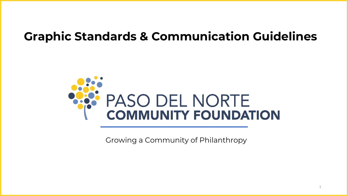# **Graphic Standards & Communication Guidelines**



Growing a Community of Philanthropy

1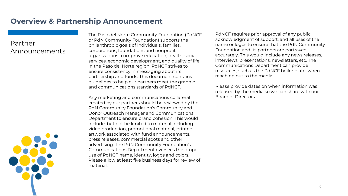### **Overview & Partnership Announcement**

### Partner Announcements



The Paso del Norte Community Foundation (PdNCF or PdN Community Foundation) supports the philanthropic goals of individuals, families, corporations, foundations and nonprofit organizations to improve education, health, social services, economic development, and quality of life in the Paso del Norte region. PdNCF strives to ensure consistency in messaging about its partnership and funds. This document contains guidelines to help our partners meet the graphic and communications standards of PdNCF.

Any marketing and communications collateral created by our partners should be reviewed by the PdN Community Foundation's Community and Donor Outreach Manager and Communications Department to ensure brand cohesion. This would include, but not be limited to material including video production, promotional material, printed artwork associated with fund announcements, press releases, commercial spots and other advertising. The PdN Community Foundation's Communications Department oversees the proper use of PdNCF name, identity, logos and colors. Please allow at least five business days for review of material.

PdNCF requires prior approval of any public acknowledgment of support, and all uses of the name or logos to ensure that the PdN Community Foundation and its partners are portrayed accurately. This would include any news releases, interviews, presentations, newsletters, etc. The Communications Department can provide resources, such as the PdNCF boiler plate, when reaching out to the media.

Please provide dates on when information was released by the media so we can share with our Board of Directors.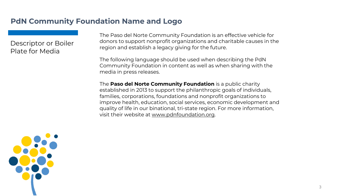Descriptor or Boiler Plate for Media

The Paso del Norte Community Foundation is an effective vehicle for donors to support nonprofit organizations and charitable causes in the region and establish a legacy giving for the future.

The following language should be used when describing the PdN Community Foundation in content as well as when sharing with the media in press releases.

The **Paso del Norte Community Foundation** is a public charity established in 2013 to support the philanthropic goals of individuals, families, corporations, foundations and nonprofit organizations to improve health, education, social services, economic development and quality of life in our binational, tri-state region. For more information, visit their website at [www.pdnfoundation.org](http://www.pdnfoundation.org/).

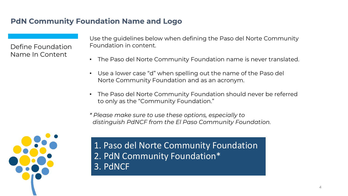Define Foundation Name In Content

Use the guidelines below when defining the Paso del Norte Community Foundation in content.

- The Paso del Norte Community Foundation name is never translated.
- Use a lower case "d" when spelling out the name of the Paso del Norte Community Foundation and as an acronym.
- The Paso del Norte Community Foundation should never be referred to only as the "Community Foundation."
- *\* Please make sure to use these options, especially to distinguish PdNCF from the El Paso Community Foundation.*



1. Paso del Norte Community Foundation 2. PdN Community Foundation\* 3. PdNCF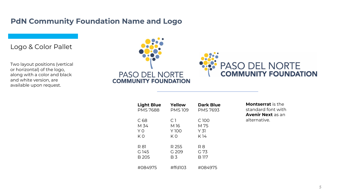Logo & Color Pallet

Two layout positions (vertical or horizontal) of the logo, along with a color and black and white version, are available upon request.



| <b>Light Blue</b> | Yellow         | <b>Dark Blue</b> |
|-------------------|----------------|------------------|
| <b>PMS 7688</b>   | <b>PMS109</b>  | <b>PMS 7693</b>  |
| C 68              | C 1            | C 100            |
| M 34              | M 16           | M 75             |
| Y <sub>0</sub>    | Y 100          | Y <sub>31</sub>  |
| ΚN                | ΚO             | K 14             |
| R 81              | R 255          | R 8              |
| G 145             | G 209          | G 73             |
| <b>B205</b>       | B <sub>3</sub> | B 117            |
| #084975           | #ffd103        | #084975          |

**Montserrat** is the standard font with **Avenir Next** as an alternative.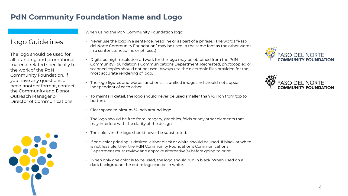Logo Guidelines

The logo should be used for all branding and promotional material related specifically to the work of the PdN Community Foundation. If you have any questions or need another format, contact the Community and Donor Outreach Manager or Director of Communications.



When using the PdN Community Foundation logo:

- Never use the logo in a sentence, headline or as part of a phrase. (The words "Paso del Norte Community Foundation" may be used in the same font as the other words in a sentence, headline or phrase..)
- Digitized high-resolution artwork for the logo may be obtained from the PdN Community Foundation's Communications Department. Recreated, photocopied or scanned copies should not be used. Always use the electronic files provided for the most accurate rendering of logo.
- The logo figures and words function as a unified image and should not appear independent of each other.
- To maintain detail, the logo should never be used smaller than  $\frac{1}{2}$  inch from top to bottom.
- Clear space minimum  $\frac{1}{4}$  inch around logo.
- The logo should be free from imagery, graphics, folds or any other elements that may interfere with the clarity of the design.
- The colors in the logo should never be substituted.
- If one-color printing is desired, either black or white should be used. If black or white is not feasible, then the PdN Community Foundation's Communications Department must review and approve alternative(s) before going to print.
- When only one color is to be used, the logo should run in black. When used on a dark background the entire logo can be in white.



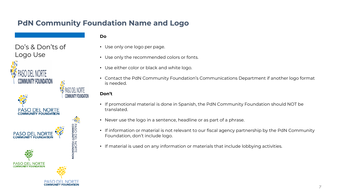Do's & Don'ts of Logo Use



PASO DEL NORTE

#### **Do**

- Use only one logo per page.
- Use only the recommended colors or fonts.
- Use either color or black and white logo.
- Contact the PdN Community Foundation's Communications Department if another logo format is needed.

#### **Don't**

38

- If promotional material is done in Spanish, the PdN Community Foundation should NOT be translated.
- Never use the logo in a sentence, headline or as part of a phrase.
- If information or material is not relevant to our fiscal agency partnership by the PdN Community Foundation, don't include logo.
- If material is used on any information or materials that include lobbying activities.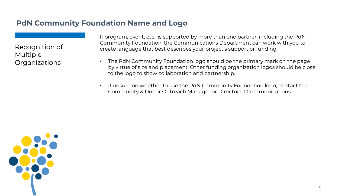Recognition of Multiple Organizations

If program, event, etc., is supported by more than one partner, including the PdN Community Foundation, the Communications Department can work with you to create language that best describes your project's support or funding.

- The PdN Community Foundation logo should be the primary mark on the page by virtue of size and placement. Other funding organization logos should be close to the logo to show collaboration and partnership.
- If unsure on whether to use the PdN Community Foundation logo, contact the Community & Donor Outreach Manager or Director of Communications.

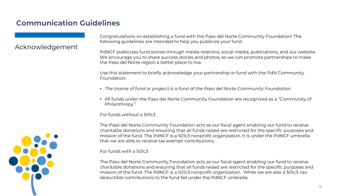# **Communication Guidelines**

### Acknowledgement

Congratulations on establishing a fund with the Paso del Norte Community Foundation! The following guidelines are intended to help you publicize your fund.

PdNCF publicizes fund stories through media relations, social media, publications, and our website. We encourage you to share success stories and photos, so we can promote partnerships to make the Paso del Norte region a better place to live.

Use this statement to briefly acknowledge your partnership or fund with the PdN Community Foundation:

- *The (name of fund or project) is a fund of the Paso del Norte Community Foundation.*
- All funds under the Paso del Norte Community Foundation are recognized as a "Community of Philanthropy."

For funds without a 501c3

The Paso del Norte Community Foundation acts as our fiscal agent enabling our fund to receive charitable donations and ensuring that all funds raised are restricted for the specific purposes and mission of the fund. The PdNCF is a 501c3 nonprofit organization. It is under the PdNCF umbrella that we are able to receive tax exempt contributions.

For funds with a 501c3

The Paso del Norte Community Foundation acts as our fiscal agent enabling our fund to receive charitable donations and ensuring that all funds raised are restricted for the specific purposes and mission of the fund. The PdNCF is a 501c3 nonprofit organization. While we are also a 501c3, tax deductible contributions to the fund fall under the PdNCF umbrella.

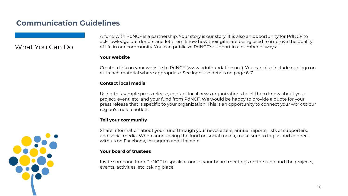## **Communication Guidelines**

### What You Can Do

A fund with PdNCF is a partnership. Your story is our story. It is also an opportunity for PdNCF to acknowledge our donors and let them know how their gifts are being used to improve the quality of life in our community. You can publicize PdNCF's support in a number of ways:

#### **Your website**

Create a link on your website to PdNCF [\(www.pdnfoundation.org\)](http://www.pdnfoundation.org/). You can also include our logo on outreach material where appropriate. See logo use details on page 6-7.

#### **Contact local media**

Using this sample press release, contact local news organizations to let them know about your project, event, etc. and your fund from PdNCF. We would be happy to provide a quote for your press release that is specific to your organization. This is an opportunity to connect your work to our region's media outlets.

#### **Tell your community**

Share information about your fund through your newsletters, annual reports, lists of supporters, and social media. When announcing the fund on social media, make sure to tag us and connect with us on Facebook, Instagram and LinkedIn.

#### **Your board of trustees**

Invite someone from PdNCF to speak at one of your board meetings on the fund and the projects, events, activities, etc. taking place.

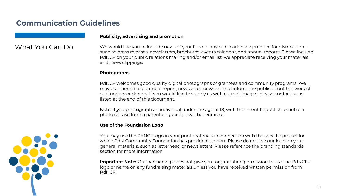### **Communication Guidelines**

#### **Publicity, advertising and promotion**

### What You Can Do

We would like you to include news of your fund in any publication we produce for distribution – such as press releases, newsletters, brochures, events calendar, and annual reports. Please include PdNCF on your public relations mailing and/or email list; we appreciate receiving your materials and news clippings.

#### **Photographs**

PdNCF welcomes good quality digital photographs of grantees and community programs. We may use them in our annual report, newsletter, or website to inform the public about the work of our funders or donors. If you would like to supply us with current images, please contact us as listed at the end of this document.

Note: If you photograph an individual under the age of 18, with the intent to publish, proof of a photo release from a parent or guardian will be required.

#### **Use of the Foundation Logo**

You may use the PdNCF logo in your print materials in connection with the specific project for which PdN Community Foundation has provided support. Please do not use our logo on your general materials, such as letterhead or newsletters. Please reference the branding standards section for more information.

**Important Note:** Our partnership does not give your organization permission to use the PdNCF's logo or name on any fundraising materials unless you have received written permission from PdNCF.

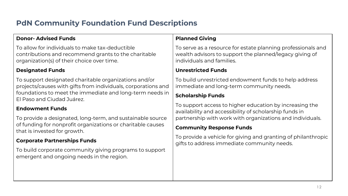# **PdN Community Foundation Fund Descriptions**

### **Donor- Advised Funds**

To allow for individuals to make tax-deductible contributions and recommend grants to the charitable organization(s) of their choice over time.

#### **Designated Funds**

To support designated charitable organizations and/or projects/causes with gifts from individuals, corporations and foundations to meet the immediate and long-term needs in El Paso and Ciudad Juárez.

#### **Endowment Funds**

To provide a designated, long-term, and sustainable source of funding for nonprofit organizations or charitable causes that is invested for growth.

#### **Corporate Partnerships Funds**

To build corporate community giving programs to support emergent and ongoing needs in the region.

#### **Planned Giving**

To serve as a resource for estate planning professionals and wealth advisors to support the planned/legacy giving of individuals and families.

#### **Unrestricted Funds**

To build unrestricted endowment funds to help address immediate and long-term community needs.

#### **Scholarship Funds**

To support access to higher education by increasing the availability and accessibility of scholarship funds in partnership with work with organizations and individuals.

#### **Community Response Funds**

To provide a vehicle for giving and granting of philanthropic gifts to address immediate community needs.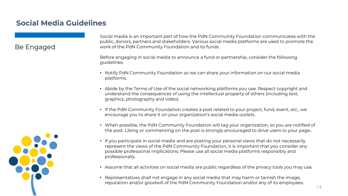# **Social Media Guidelines**

### Be Engaged



Social media is an important part of how the PdN Community Foundation communicates with the public, donors, partners and stakeholders. Various social media platforms are used to promote the work of the PdN Community Foundation and its funds.

Before engaging in social media to announce a fund or partnership, consider the following guidelines:

- Notify PdN Community Foundation so we can share your information on our social media platforms.
- Abide by the Terms of Use of the social networking platforms you use. Respect copyright and understand the consequences of using the intellectual property of others (including text, graphics, photography and video).
- If the PdN Community Foundation creates a post related to your project, fund, event, etc., we encourage you to share it on your organization's social media outlets.
- When possible, the PdN Community Foundation will tag your organization, so you are notified of the post. Liking or commenting on the post is strongly encouraged to drive users to your page..
- If you participate in social media and are posting your personal views that do not necessarily represent the views of the PdN Community Foundation, it is important that you consider any possible professional implications. Please use all social media platforms responsibly and professionally.
- Assume that all activities on social media are public regardless of the privacy tools you may use.
- Representatives shall not engage in any social media that may harm or tarnish the image, reputation and/or goodwill of the PdN Community Foundation and/or any of its employees.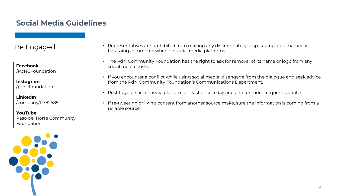# **Social Media Guidelines**

### Be Engaged

**Facebook** /PdNCFoundation

**Instagram** /pdncfoundation

**LinkedIn** /company/11782589

**YouTube** Paso del Norte Community Foundation



- Representatives are prohibited from making any discriminatory, disparaging, defamatory or harassing comments when on social media platforms.
- The PdN Community Foundation has the right to ask for removal of its name or logo from any social media posts.
- If you encounter a conflict while using social media, disengage from the dialogue and seek advice from the PdN Community Foundation's Communications Department.
- Post to your social media platform at least once a day and aim for more frequent updates.
- If re-tweeting or liking content from another source make, sure the information is coming from a reliable source.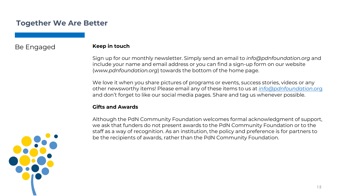### **Together We Are Better**

### Be Engaged

#### **Keep in touch**

Sign up for our monthly newsletter. Simply send an email to *info@pdnfoundation.org* and include your name and email address or you can find a sign-up form on our website (*www.pdnfoundation.org*) towards the bottom of the home page.

We love it when you share pictures of programs or events, success stories, videos or any other newsworthy items! Please email any of these items to us at *[info@pdnfoundation](mailto:info@pdnfoundation.org)*.org and don't forget to like our social media pages. Share and tag us whenever possible.

#### **Gifts and Awards**

Although the PdN Community Foundation welcomes formal acknowledgment of support, we ask that funders do not present awards to the PdN Community Foundation or to the staff as a way of recognition. As an institution, the policy and preference is for partners to be the recipients of awards, rather than the PdN Community Foundation.